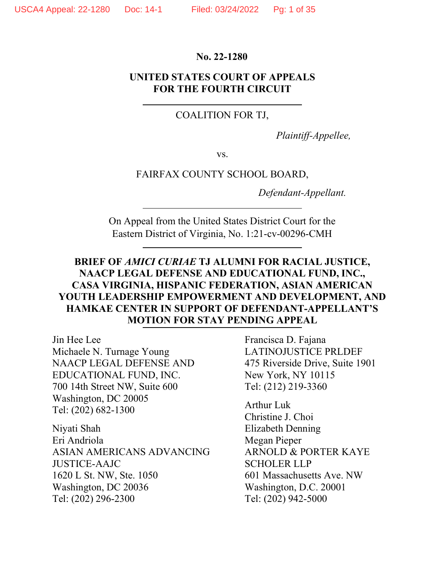#### No. 22-1280

#### UNITED STATES COURT OF APPEALS FOR THE FOURTH CIRCUIT

#### COALITION FOR TJ,

Plaintiff-Appellee,

vs.

#### FAIRFAX COUNTY SCHOOL BOARD,

Defendant-Appellant.

On Appeal from the United States District Court for the Eastern District of Virginia, No. 1:21-cv-00296-CMH

## BRIEF OF AMICI CURIAE TJ ALUMNI FOR RACIAL JUSTICE, NAACP LEGAL DEFENSE AND EDUCATIONAL FUND, INC., CASA VIRGINIA, HISPANIC FEDERATION, ASIAN AMERICAN YOUTH LEADERSHIP EMPOWERMENT AND DEVELOPMENT, AND HAMKAE CENTER IN SUPPORT OF DEFENDANT-APPELLANT'S MOTION FOR STAY PENDING APPEAL

Jin Hee Lee Michaele N. Turnage Young NAACP LEGAL DEFENSE AND EDUCATIONAL FUND, INC. 700 14th Street NW, Suite 600 Washington, DC 20005 Tel: (202) 682-1300

Niyati Shah Eri Andriola ASIAN AMERICANS ADVANCING JUSTICE-AAJC 1620 L St. NW, Ste. 1050 Washington, DC 20036 Tel: (202) 296-2300

Francisca D. Fajana LATINOJUSTICE PRLDEF 475 Riverside Drive, Suite 1901 New York, NY 10115 Tel: (212) 219-3360

Arthur Luk Christine J. Choi Elizabeth Denning Megan Pieper ARNOLD & PORTER KAYE SCHOLER LLP 601 Massachusetts Ave. NW Washington, D.C. 20001 Tel: (202) 942-5000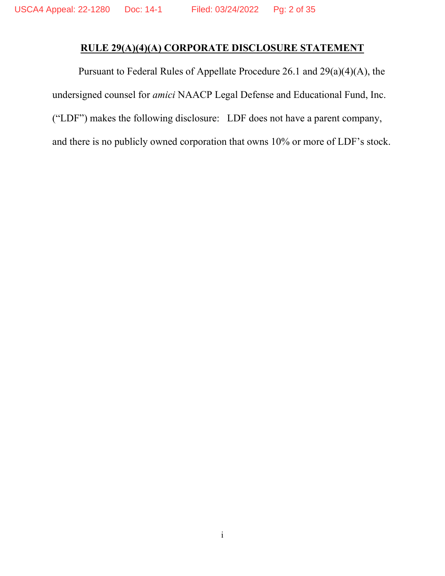## RULE 29(A)(4)(A) CORPORATE DISCLOSURE STATEMENT

Pursuant to Federal Rules of Appellate Procedure 26.1 and 29(a)(4)(A), the undersigned counsel for amici NAACP Legal Defense and Educational Fund, Inc. ("LDF") makes the following disclosure: LDF does not have a parent company, and there is no publicly owned corporation that owns 10% or more of LDF's stock.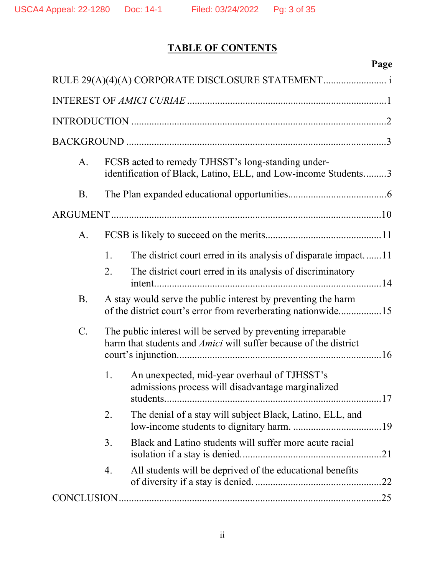# TABLE OF CONTENTS

|           | Page                                                                                                                             |
|-----------|----------------------------------------------------------------------------------------------------------------------------------|
|           |                                                                                                                                  |
|           |                                                                                                                                  |
|           |                                                                                                                                  |
|           |                                                                                                                                  |
| A.        | FCSB acted to remedy TJHSST's long-standing under-<br>identification of Black, Latino, ELL, and Low-income Students3             |
| <b>B.</b> |                                                                                                                                  |
|           |                                                                                                                                  |
| A.        |                                                                                                                                  |
|           | The district court erred in its analysis of disparate impact11<br>1.                                                             |
|           | The district court erred in its analysis of discriminatory<br>2.                                                                 |
| <b>B.</b> | A stay would serve the public interest by preventing the harm<br>of the district court's error from reverberating nationwide15   |
| $C$ .     | The public interest will be served by preventing irreparable<br>harm that students and Amici will suffer because of the district |
|           | An unexpected, mid-year overhaul of TJHSST's<br>1.<br>admissions process will disadvantage marginalized                          |
|           | The denial of a stay will subject Black, Latino, ELL, and<br>2.                                                                  |
|           | Black and Latino students will suffer more acute racial<br>3.                                                                    |
|           | All students will be deprived of the educational benefits<br>4.                                                                  |
|           |                                                                                                                                  |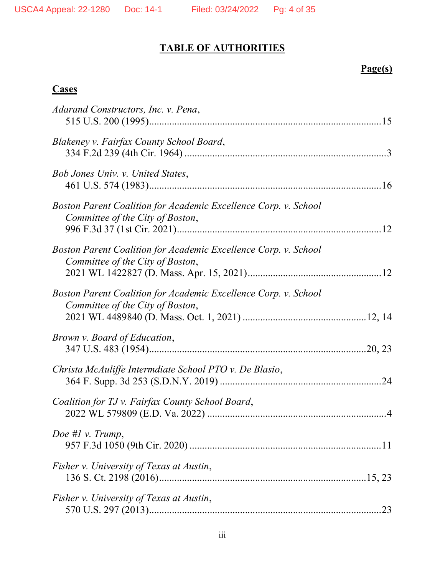## TABLE OF AUTHORITIES

## Page(s)

## **Cases**

| Adarand Constructors, Inc. v. Pena,                                                                 |
|-----------------------------------------------------------------------------------------------------|
| Blakeney v. Fairfax County School Board,                                                            |
| Bob Jones Univ. v. United States,                                                                   |
| Boston Parent Coalition for Academic Excellence Corp. v. School<br>Committee of the City of Boston, |
| Boston Parent Coalition for Academic Excellence Corp. v. School<br>Committee of the City of Boston, |
| Boston Parent Coalition for Academic Excellence Corp. v. School<br>Committee of the City of Boston, |
| Brown v. Board of Education,                                                                        |
| Christa McAuliffe Intermdiate School PTO v. De Blasio,                                              |
| Coalition for TJ v. Fairfax County School Board,                                                    |
| Doe #1 v. Trump,                                                                                    |
| Fisher v. University of Texas at Austin,                                                            |
| Fisher v. University of Texas at Austin,                                                            |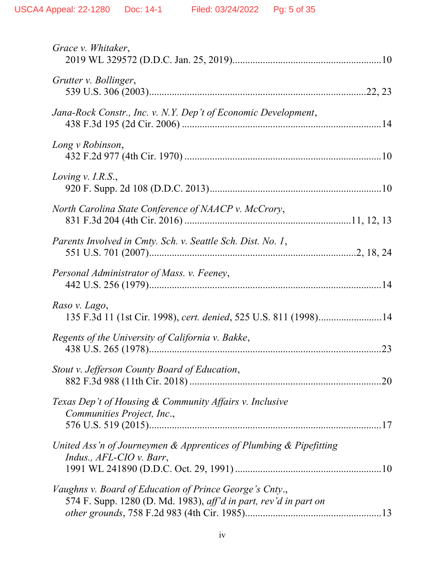| Grace v. Whitaker,                                                                                                          |
|-----------------------------------------------------------------------------------------------------------------------------|
| Grutter v. Bollinger,                                                                                                       |
| Jana-Rock Constr., Inc. v. N.Y. Dep't of Economic Development,                                                              |
| Long v Robinson,                                                                                                            |
| Loving v. I.R.S.,                                                                                                           |
| North Carolina State Conference of NAACP v. McCrory,                                                                        |
| Parents Involved in Cmty. Sch. v. Seattle Sch. Dist. No. 1,                                                                 |
| Personal Administrator of Mass. v. Feeney,                                                                                  |
| Raso v. Lago,<br>135 F.3d 11 (1st Cir. 1998), cert. denied, 525 U.S. 811 (1998)14                                           |
| Regents of the University of California v. Bakke,<br>.23                                                                    |
| Stout v. Jefferson County Board of Education,                                                                               |
| Texas Dep't of Housing & Community Affairs v. Inclusive<br>Communities Project, Inc.,                                       |
| United Ass'n of Journeymen & Apprentices of Plumbing & Pipefitting<br>Indus., AFL-CIO v. Barr,                              |
| Vaughns v. Board of Education of Prince George's Cnty.,<br>574 F. Supp. 1280 (D. Md. 1983), aff'd in part, rev'd in part on |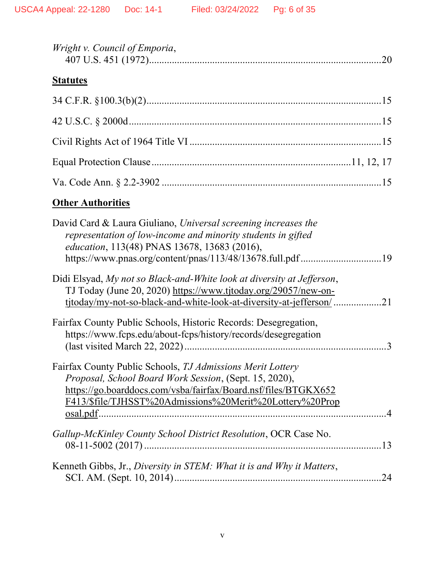| Wright v. Council of Emporia, |  |
|-------------------------------|--|
|                               |  |

## **Statutes**

## **Other Authorities**

| David Card & Laura Giuliano, Universal screening increases the<br>representation of low-income and minority students in gifted<br>education, 113(48) PNAS 13678, 13683 (2016), |               |
|--------------------------------------------------------------------------------------------------------------------------------------------------------------------------------|---------------|
|                                                                                                                                                                                |               |
| Didi Elsyad, My not so Black-and-White look at diversity at Jefferson,<br>TJ Today (June 20, 2020) https://www.tjtoday.org/29057/new-on-                                       |               |
| tjtoday/my-not-so-black-and-white-look-at-diversity-at-jefferson/21                                                                                                            |               |
| Fairfax County Public Schools, Historic Records: Desegregation,<br>https://www.fcps.edu/about-fcps/history/records/desegregation                                               | $\mathcal{E}$ |
| Fairfax County Public Schools, TJ Admissions Merit Lottery                                                                                                                     |               |
| Proposal, School Board Work Session, (Sept. 15, 2020),                                                                                                                         |               |
| https://go.boarddocs.com/vsba/fairfax/Board.nsf/files/BTGKX652                                                                                                                 |               |
| F413/\$file/TJHSST%20Admissions%20Merit%20Lottery%20Prop                                                                                                                       |               |
|                                                                                                                                                                                |               |
| Gallup-McKinley County School District Resolution, OCR Case No.                                                                                                                |               |
| Kenneth Gibbs, Jr., Diversity in STEM: What it is and Why it Matters,                                                                                                          | 24            |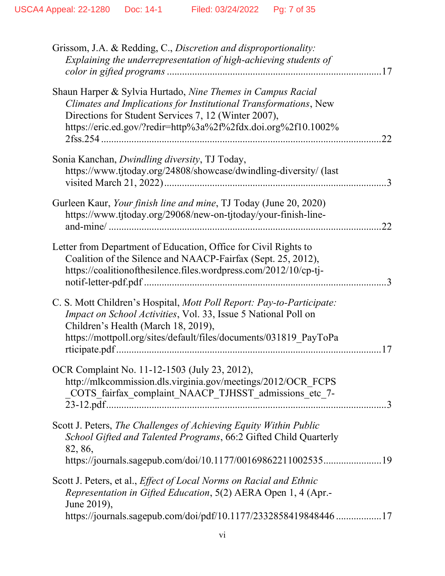| Grissom, J.A. & Redding, C., Discretion and disproportionality:<br>Explaining the underrepresentation of high-achieving students of                                                                                                                            |
|----------------------------------------------------------------------------------------------------------------------------------------------------------------------------------------------------------------------------------------------------------------|
| Shaun Harper & Sylvia Hurtado, Nine Themes in Campus Racial<br>Climates and Implications for Institutional Transformations, New<br>Directions for Student Services 7, 12 (Winter 2007),<br>https://eric.ed.gov/?redir=http%3a%2f%2fdx.doi.org%2f10.1002%<br>22 |
| Sonia Kanchan, Dwindling diversity, TJ Today,<br>https://www.tjtoday.org/24808/showcase/dwindling-diversity/ (last                                                                                                                                             |
| Gurleen Kaur, Your finish line and mine, TJ Today (June 20, 2020)<br>https://www.tjtoday.org/29068/new-on-tjtoday/your-finish-line-<br>.22                                                                                                                     |
| Letter from Department of Education, Office for Civil Rights to<br>Coalition of the Silence and NAACP-Fairfax (Sept. 25, 2012),<br>https://coalitionofthesilence.files.wordpress.com/2012/10/cp-tj-                                                            |
| C. S. Mott Children's Hospital, Mott Poll Report: Pay-to-Participate:<br>Impact on School Activities, Vol. 33, Issue 5 National Poll on<br>Children's Health (March 18, 2019),<br>https://mottpoll.org/sites/default/files/documents/031819_PayToPa            |
| OCR Complaint No. 11-12-1503 (July 23, 2012),<br>http://mlkcommission.dls.virginia.gov/meetings/2012/OCR FCPS<br>COTS fairfax complaint NAACP TJHSST admissions etc 7-                                                                                         |
| Scott J. Peters, The Challenges of Achieving Equity Within Public<br>School Gifted and Talented Programs, 66:2 Gifted Child Quarterly<br>82, 86,<br>https://journals.sagepub.com/doi/10.1177/0016986221100253519                                               |
| Scott J. Peters, et al., <i>Effect of Local Norms on Racial and Ethnic</i><br>Representation in Gifted Education, 5(2) AERA Open 1, 4 (Apr.-<br>June 2019),<br>https://journals.sagepub.com/doi/pdf/10.1177/2332858419848446 17                                |
|                                                                                                                                                                                                                                                                |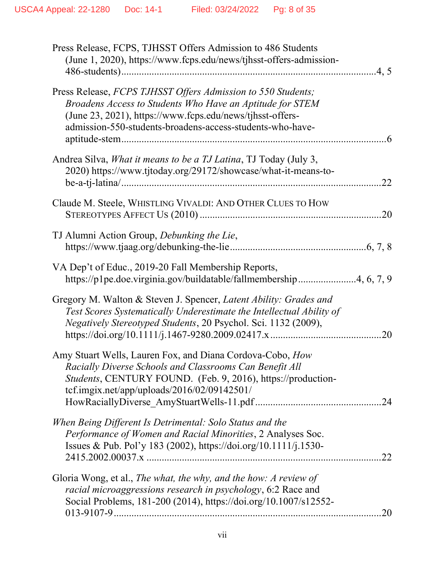| Press Release, FCPS, TJHSST Offers Admission to 486 Students<br>(June 1, 2020), https://www.fcps.edu/news/tjhsst-offers-admission-                                                                                                                  |
|-----------------------------------------------------------------------------------------------------------------------------------------------------------------------------------------------------------------------------------------------------|
| Press Release, FCPS TJHSST Offers Admission to 550 Students;<br>Broadens Access to Students Who Have an Aptitude for STEM<br>(June 23, 2021), https://www.fcps.edu/news/tjhsst-offers-<br>admission-550-students-broadens-access-students-who-have- |
| Andrea Silva, What it means to be a TJ Latina, TJ Today (July 3,<br>2020) https://www.tjtoday.org/29172/showcase/what-it-means-to-                                                                                                                  |
| Claude M. Steele, WHISTLING VIVALDI: AND OTHER CLUES TO HOW                                                                                                                                                                                         |
| TJ Alumni Action Group, Debunking the Lie,                                                                                                                                                                                                          |
| VA Dep't of Educ., 2019-20 Fall Membership Reports,<br>https://p1pe.doe.virginia.gov/buildatable/fallmembership4, 6, 7, 9                                                                                                                           |
| Gregory M. Walton & Steven J. Spencer, Latent Ability: Grades and<br>Test Scores Systematically Underestimate the Intellectual Ability of<br>Negatively Stereotyped Students, 20 Psychol. Sci. 1132 (2009),<br>.20                                  |
| Amy Stuart Wells, Lauren Fox, and Diana Cordova-Cobo, How<br>Racially Diverse Schools and Classrooms Can Benefit All<br>Students, CENTURY FOUND. (Feb. 9, 2016), https://production-<br>tcf.imgix.net/app/uploads/2016/02/09142501/                 |
| When Being Different Is Detrimental: Solo Status and the<br>Performance of Women and Racial Minorities, 2 Analyses Soc.<br>Issues & Pub. Pol'y 183 (2002), https://doi.org/10.1111/j.1530-<br>22                                                    |
| Gloria Wong, et al., The what, the why, and the how: A review of<br>racial microaggressions research in psychology, 6:2 Race and<br>Social Problems, 181-200 (2014), https://doi.org/10.1007/s12552-<br>.20                                         |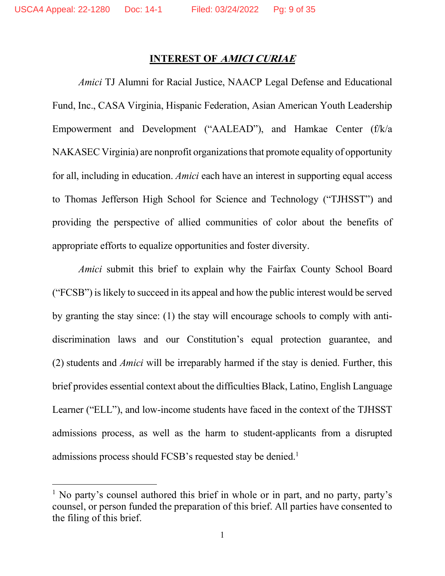#### INTEREST OF AMICI CURIAE

Amici TJ Alumni for Racial Justice, NAACP Legal Defense and Educational Fund, Inc., CASA Virginia, Hispanic Federation, Asian American Youth Leadership Empowerment and Development ("AALEAD"), and Hamkae Center (f/k/a NAKASEC Virginia) are nonprofit organizations that promote equality of opportunity for all, including in education. Amici each have an interest in supporting equal access to Thomas Jefferson High School for Science and Technology ("TJHSST") and providing the perspective of allied communities of color about the benefits of appropriate efforts to equalize opportunities and foster diversity.

Amici submit this brief to explain why the Fairfax County School Board ("FCSB") is likely to succeed in its appeal and how the public interest would be served by granting the stay since: (1) the stay will encourage schools to comply with antidiscrimination laws and our Constitution's equal protection guarantee, and (2) students and Amici will be irreparably harmed if the stay is denied. Further, this brief provides essential context about the difficulties Black, Latino, English Language Learner ("ELL"), and low-income students have faced in the context of the TJHSST admissions process, as well as the harm to student-applicants from a disrupted admissions process should FCSB's requested stay be denied.<sup>1</sup>

<sup>&</sup>lt;sup>1</sup> No party's counsel authored this brief in whole or in part, and no party, party's counsel, or person funded the preparation of this brief. All parties have consented to the filing of this brief.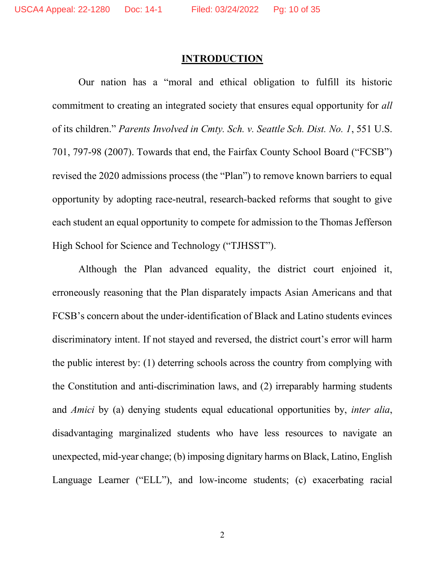#### **INTRODUCTION**

Our nation has a "moral and ethical obligation to fulfill its historic commitment to creating an integrated society that ensures equal opportunity for all of its children." Parents Involved in Cmty. Sch. v. Seattle Sch. Dist. No. 1, 551 U.S. 701, 797-98 (2007). Towards that end, the Fairfax County School Board ("FCSB") revised the 2020 admissions process (the "Plan") to remove known barriers to equal opportunity by adopting race-neutral, research-backed reforms that sought to give each student an equal opportunity to compete for admission to the Thomas Jefferson High School for Science and Technology ("TJHSST").

Although the Plan advanced equality, the district court enjoined it, erroneously reasoning that the Plan disparately impacts Asian Americans and that FCSB's concern about the under-identification of Black and Latino students evinces discriminatory intent. If not stayed and reversed, the district court's error will harm the public interest by: (1) deterring schools across the country from complying with the Constitution and anti-discrimination laws, and (2) irreparably harming students and Amici by (a) denying students equal educational opportunities by, inter alia, disadvantaging marginalized students who have less resources to navigate an unexpected, mid-year change; (b) imposing dignitary harms on Black, Latino, English Language Learner ("ELL"), and low-income students; (c) exacerbating racial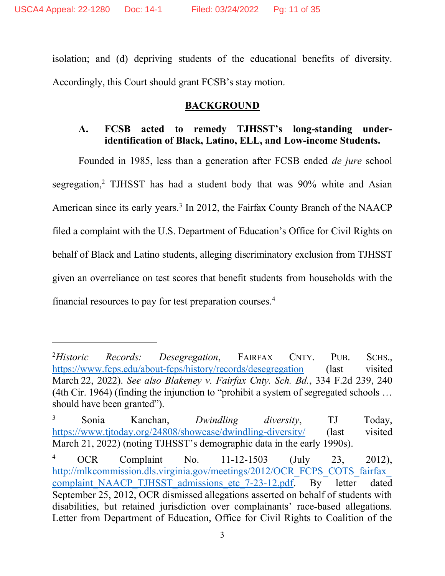isolation; and (d) depriving students of the educational benefits of diversity. Accordingly, this Court should grant FCSB's stay motion.

### **BACKGROUND**

## A. FCSB acted to remedy TJHSST's long-standing underidentification of Black, Latino, ELL, and Low-income Students.

Founded in 1985, less than a generation after FCSB ended de jure school segregation,<sup>2</sup> TJHSST has had a student body that was 90% white and Asian American since its early years.<sup>3</sup> In 2012, the Fairfax County Branch of the NAACP filed a complaint with the U.S. Department of Education's Office for Civil Rights on behalf of Black and Latino students, alleging discriminatory exclusion from TJHSST given an overreliance on test scores that benefit students from households with the financial resources to pay for test preparation courses.<sup>4</sup>

 $^{2}$ Historic Records: Desegregation, FAIRFAX CNTY. PUB. SCHS., https://www.fcps.edu/about-fcps/history/records/desegregation (last visited March 22, 2022). See also Blakeney v. Fairfax Cnty. Sch. Bd., 334 F.2d 239, 240 (4th Cir. 1964) (finding the injunction to "prohibit a system of segregated schools … should have been granted").

<sup>3</sup> Sonia Kanchan, Dwindling diversity, TJ Today, https://www.tjtoday.org/24808/showcase/dwindling-diversity/ (last visited March 21, 2022) (noting TJHSST's demographic data in the early 1990s).

<sup>4</sup> OCR Complaint No. 11-12-1503 (July 23, 2012), http://mlkcommission.dls.virginia.gov/meetings/2012/OCR\_FCPS\_COTS\_fairfax complaint\_NAACP\_TJHSST\_admissions\_etc\_7-23-12.pdf. By letter dated September 25, 2012, OCR dismissed allegations asserted on behalf of students with disabilities, but retained jurisdiction over complainants' race-based allegations. Letter from Department of Education, Office for Civil Rights to Coalition of the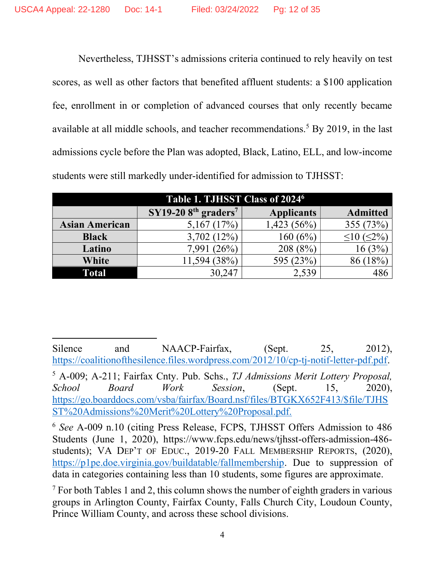Nevertheless, TJHSST's admissions criteria continued to rely heavily on test scores, as well as other factors that benefited affluent students: a \$100 application fee, enrollment in or completion of advanced courses that only recently became available at all middle schools, and teacher recommendations.<sup>5</sup> By 2019, in the last admissions cycle before the Plan was adopted, Black, Latino, ELL, and low-income students were still markedly under-identified for admission to TJHSST:

| Table 1. TJHSST Class of 2024 <sup>6</sup> |                       |                   |                 |
|--------------------------------------------|-----------------------|-------------------|-----------------|
|                                            | $SY19-208th graders7$ | <b>Applicants</b> | <b>Admitted</b> |
| <b>Asian American</b>                      | 5,167(17%)            | $1,423(56\%)$     | 355 (73%)       |
| <b>Black</b>                               | 3,702(12%)            | 160 (6%)          | $(<\!\!2\!\%$   |
| Latino                                     | (26%)<br>7.991        | 208(8%)           |                 |
| White                                      | 38%<br>11,594         | 595 (23%)         |                 |
| Total                                      | 30.247                | 2,539             | 486             |

Silence and NAACP-Fairfax, (Sept. 25, 2012), https://coalitionofthesilence.files.wordpress.com/2012/10/cp-tj-notif-letter-pdf.pdf.

<sup>&</sup>lt;sup>5</sup> A-009; A-211; Fairfax Cnty. Pub. Schs., TJ Admissions Merit Lottery Proposal, School Board Work Session, (Sept. 15, 2020), https://go.boarddocs.com/vsba/fairfax/Board.nsf/files/BTGKX652F413/\$file/TJHS ST%20Admissions%20Merit%20Lottery%20Proposal.pdf.

<sup>&</sup>lt;sup>6</sup> See A-009 n.10 (citing Press Release, FCPS, TJHSST Offers Admission to 486 Students (June 1, 2020), https://www.fcps.edu/news/tjhsst-offers-admission-486 students); VA DEP'T OF EDUC., 2019-20 FALL MEMBERSHIP REPORTS, (2020), https://p1pe.doe.virginia.gov/buildatable/fallmembership. Due to suppression of data in categories containing less than 10 students, some figures are approximate.

<sup>&</sup>lt;sup>7</sup> For both Tables 1 and 2, this column shows the number of eighth graders in various groups in Arlington County, Fairfax County, Falls Church City, Loudoun County, Prince William County, and across these school divisions.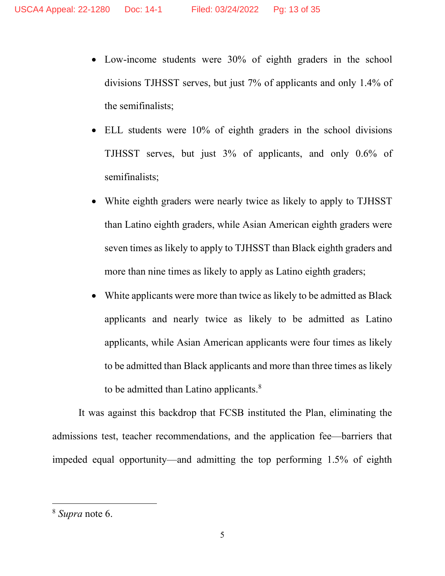- Low-income students were 30% of eighth graders in the school divisions TJHSST serves, but just 7% of applicants and only 1.4% of the semifinalists;
- ELL students were 10% of eighth graders in the school divisions TJHSST serves, but just 3% of applicants, and only 0.6% of semifinalists;
- White eighth graders were nearly twice as likely to apply to TJHSST than Latino eighth graders, while Asian American eighth graders were seven times as likely to apply to TJHSST than Black eighth graders and more than nine times as likely to apply as Latino eighth graders;
- White applicants were more than twice as likely to be admitted as Black applicants and nearly twice as likely to be admitted as Latino applicants, while Asian American applicants were four times as likely to be admitted than Black applicants and more than three times as likely to be admitted than Latino applicants. $8$

It was against this backdrop that FCSB instituted the Plan, eliminating the admissions test, teacher recommendations, and the application fee—barriers that impeded equal opportunity—and admitting the top performing 1.5% of eighth

<sup>8</sup> Supra note 6.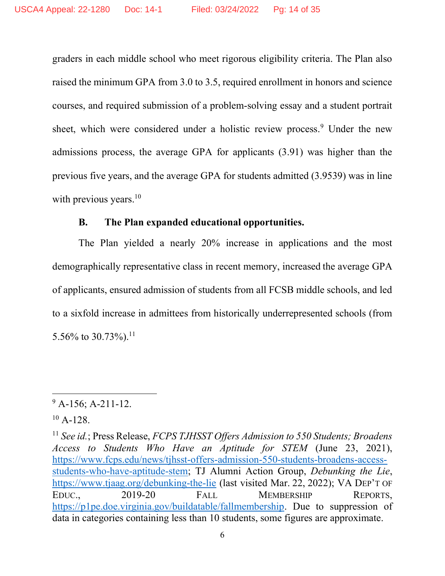graders in each middle school who meet rigorous eligibility criteria. The Plan also raised the minimum GPA from 3.0 to 3.5, required enrollment in honors and science courses, and required submission of a problem-solving essay and a student portrait sheet, which were considered under a holistic review process.<sup>9</sup> Under the new admissions process, the average GPA for applicants (3.91) was higher than the previous five years, and the average GPA for students admitted (3.9539) was in line with previous years.<sup>10</sup>

#### B. The Plan expanded educational opportunities.

The Plan yielded a nearly 20% increase in applications and the most demographically representative class in recent memory, increased the average GPA of applicants, ensured admission of students from all FCSB middle schools, and led to a sixfold increase in admittees from historically underrepresented schools (from 5.56% to 30.73%).<sup>11</sup>

 $9$  A-156; A-211-12.

 $10$  A-128.

<sup>&</sup>lt;sup>11</sup> See id.; Press Release, *FCPS TJHSST Offers Admission to 550 Students; Broadens* Access to Students Who Have an Aptitude for STEM (June 23, 2021), https://www.fcps.edu/news/tjhsst-offers-admission-550-students-broadens-accessstudents-who-have-aptitude-stem; TJ Alumni Action Group, Debunking the Lie, https://www.tjaag.org/debunking-the-lie (last visited Mar. 22, 2022); VA DEP'T OF EDUC., 2019-20 FALL MEMBERSHIP REPORTS, https://p1pe.doe.virginia.gov/buildatable/fallmembership. Due to suppression of data in categories containing less than 10 students, some figures are approximate.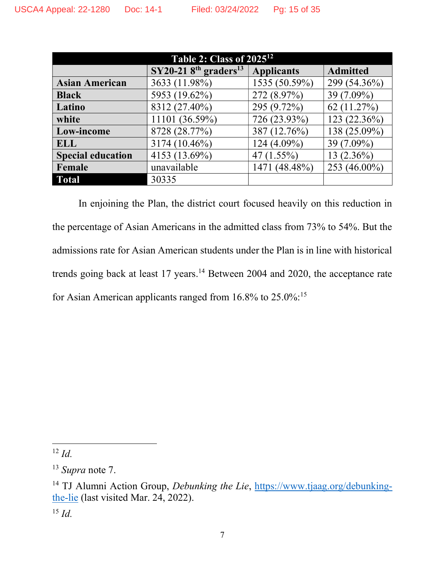| <b>Table 2: Class of 2025<sup>12</sup></b> |                                                |                   |                 |
|--------------------------------------------|------------------------------------------------|-------------------|-----------------|
|                                            | $SY20-218$ <sup>th</sup> graders <sup>13</sup> | <b>Applicants</b> | <b>Admitted</b> |
| <b>Asian American</b>                      | 3633 (11.98%)                                  | 1535 (50.59%)     | 299 (54.36%)    |
| <b>Black</b>                               | 5953 (19.62%)                                  | 272 (8.97%)       | 39 (7.09%)      |
| Latino                                     | 8312 (27.40%)                                  | 295 (9.72%)       | 62(11.27%)      |
| white                                      | 11101 (36.59%)                                 | 726 (23.93%)      | 123 $(22.36\%)$ |
| Low-income                                 | 8728 (28.77%)                                  | 387 (12.76%)      | 138 (25.09%)    |
| <b>ELL</b>                                 | 3174 (10.46%)                                  | 124 (4.09%)       | 39 (7.09%)      |
| <b>Special education</b>                   | 4153 (13.69%)                                  | 47(1.55%)         | $13(2.36\%)$    |
| Female                                     | unavailable                                    | 1471 (48.48%)     | 253 (46.00%)    |
| <b>Total</b>                               | 30335                                          |                   |                 |

In enjoining the Plan, the district court focused heavily on this reduction in the percentage of Asian Americans in the admitted class from 73% to 54%. But the admissions rate for Asian American students under the Plan is in line with historical trends going back at least 17 years.<sup>14</sup> Between 2004 and 2020, the acceptance rate for Asian American applicants ranged from 16.8% to 25.0%:<sup>15</sup>

 $12$  *Id.* 

<sup>&</sup>lt;sup>13</sup> Supra note 7.

<sup>&</sup>lt;sup>14</sup> TJ Alumni Action Group, Debunking the Lie, https://www.tjaag.org/debunkingthe-lie (last visited Mar. 24, 2022).

 $^{15}$  *Id.*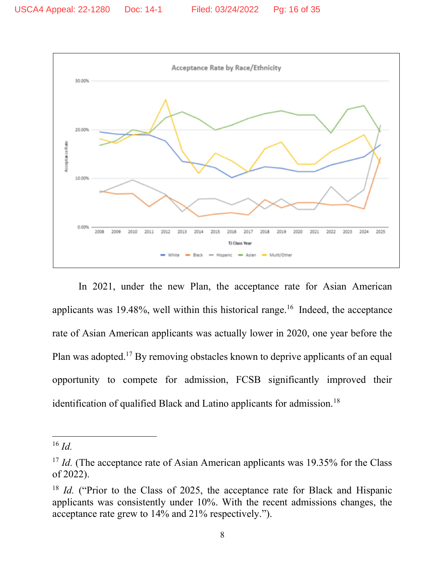

In 2021, under the new Plan, the acceptance rate for Asian American applicants was 19.48%, well within this historical range.<sup>16</sup> Indeed, the acceptance rate of Asian American applicants was actually lower in 2020, one year before the Plan was adopted.<sup>17</sup> By removing obstacles known to deprive applicants of an equal opportunity to compete for admission, FCSB significantly improved their identification of qualified Black and Latino applicants for admission.<sup>18</sup>

 $16$  *Id.* 

<sup>&</sup>lt;sup>17</sup> Id. (The acceptance rate of Asian American applicants was 19.35% for the Class of 2022).

 $18$  *Id.* ("Prior to the Class of 2025, the acceptance rate for Black and Hispanic applicants was consistently under 10%. With the recent admissions changes, the acceptance rate grew to 14% and 21% respectively.").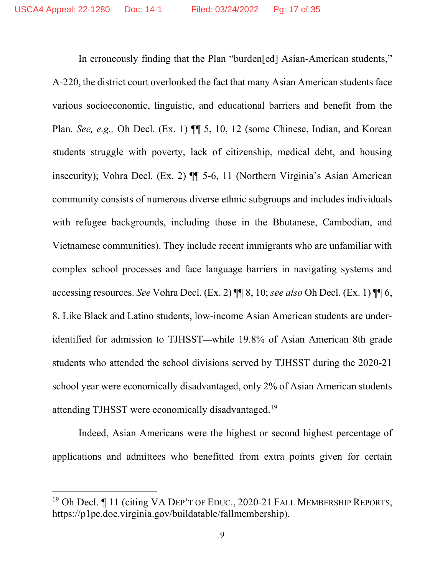In erroneously finding that the Plan "burden[ed] Asian-American students," A-220, the district court overlooked the fact that many Asian American students face various socioeconomic, linguistic, and educational barriers and benefit from the Plan. See, e.g., Oh Decl. (Ex. 1)  $\P$  5, 10, 12 (some Chinese, Indian, and Korean students struggle with poverty, lack of citizenship, medical debt, and housing insecurity); Vohra Decl. (Ex. 2) ¶¶ 5-6, 11 (Northern Virginia's Asian American community consists of numerous diverse ethnic subgroups and includes individuals with refugee backgrounds, including those in the Bhutanese, Cambodian, and Vietnamese communities). They include recent immigrants who are unfamiliar with complex school processes and face language barriers in navigating systems and accessing resources. See Vohra Decl. (Ex. 2) ¶¶ 8, 10; see also Oh Decl. (Ex. 1) ¶¶ 6, 8. Like Black and Latino students, low-income Asian American students are underidentified for admission to TJHSST—while 19.8% of Asian American 8th grade students who attended the school divisions served by TJHSST during the 2020-21 school year were economically disadvantaged, only 2% of Asian American students attending TJHSST were economically disadvantaged.<sup>19</sup>

Indeed, Asian Americans were the highest or second highest percentage of applications and admittees who benefitted from extra points given for certain

<sup>&</sup>lt;sup>19</sup> Oh Decl. I 11 (citing VA DEP'T OF EDUC., 2020-21 FALL MEMBERSHIP REPORTS, https://p1pe.doe.virginia.gov/buildatable/fallmembership).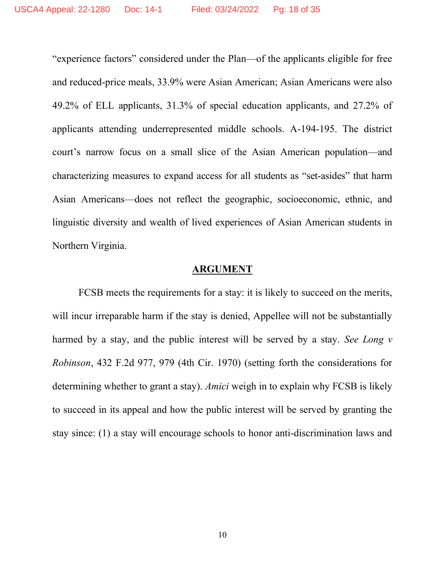"experience factors" considered under the Plan—of the applicants eligible for free and reduced-price meals, 33.9% were Asian American; Asian Americans were also 49.2% of ELL applicants, 31.3% of special education applicants, and 27.2% of applicants attending underrepresented middle schools. A-194-195. The district court's narrow focus on a small slice of the Asian American population—and characterizing measures to expand access for all students as "set-asides" that harm Asian Americans—does not reflect the geographic, socioeconomic, ethnic, and linguistic diversity and wealth of lived experiences of Asian American students in Northern Virginia.

#### ARGUMENT

FCSB meets the requirements for a stay: it is likely to succeed on the merits, will incur irreparable harm if the stay is denied, Appellee will not be substantially harmed by a stay, and the public interest will be served by a stay. See Long v Robinson, 432 F.2d 977, 979 (4th Cir. 1970) (setting forth the considerations for determining whether to grant a stay). Amici weigh in to explain why FCSB is likely to succeed in its appeal and how the public interest will be served by granting the stay since: (1) a stay will encourage schools to honor anti-discrimination laws and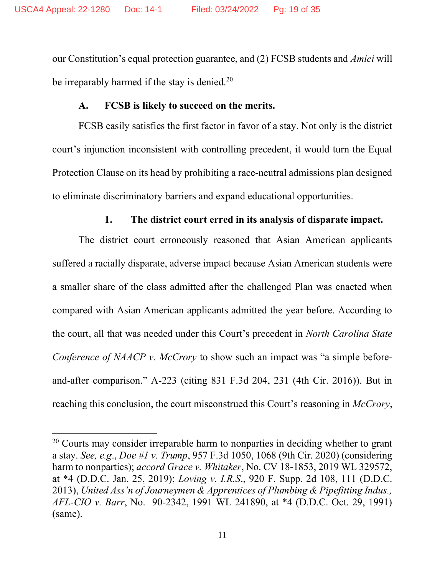our Constitution's equal protection guarantee, and (2) FCSB students and Amici will be irreparably harmed if the stay is denied.<sup>20</sup>

## A. FCSB is likely to succeed on the merits.

FCSB easily satisfies the first factor in favor of a stay. Not only is the district court's injunction inconsistent with controlling precedent, it would turn the Equal Protection Clause on its head by prohibiting a race-neutral admissions plan designed to eliminate discriminatory barriers and expand educational opportunities.

#### 1. The district court erred in its analysis of disparate impact.

The district court erroneously reasoned that Asian American applicants suffered a racially disparate, adverse impact because Asian American students were a smaller share of the class admitted after the challenged Plan was enacted when compared with Asian American applicants admitted the year before. According to the court, all that was needed under this Court's precedent in North Carolina State Conference of NAACP v. McCrory to show such an impact was "a simple beforeand-after comparison." A-223 (citing 831 F.3d 204, 231 (4th Cir. 2016)). But in reaching this conclusion, the court misconstrued this Court's reasoning in McCrory,

<sup>&</sup>lt;sup>20</sup> Courts may consider irreparable harm to nonparties in deciding whether to grant a stay. See, e.g., Doe #1 v. Trump, 957 F.3d 1050, 1068 (9th Cir. 2020) (considering harm to nonparties); accord Grace v. Whitaker, No. CV 18-1853, 2019 WL 329572, at \*4 (D.D.C. Jan. 25, 2019); Loving v. I.R.S., 920 F. Supp. 2d 108, 111 (D.D.C. 2013), United Ass'n of Journeymen & Apprentices of Plumbing & Pipefitting Indus., AFL-CIO v. Barr, No. 90-2342, 1991 WL 241890, at \*4 (D.D.C. Oct. 29, 1991) (same).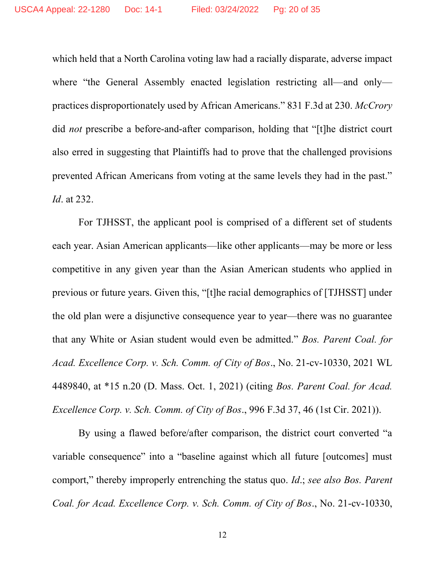which held that a North Carolina voting law had a racially disparate, adverse impact where "the General Assembly enacted legislation restricting all—and only practices disproportionately used by African Americans." 831 F.3d at 230. McCrory did not prescribe a before-and-after comparison, holding that "[t]he district court also erred in suggesting that Plaintiffs had to prove that the challenged provisions prevented African Americans from voting at the same levels they had in the past." Id. at 232.

For TJHSST, the applicant pool is comprised of a different set of students each year. Asian American applicants—like other applicants—may be more or less competitive in any given year than the Asian American students who applied in previous or future years. Given this, "[t]he racial demographics of [TJHSST] under the old plan were a disjunctive consequence year to year—there was no guarantee that any White or Asian student would even be admitted." Bos. Parent Coal. for Acad. Excellence Corp. v. Sch. Comm. of City of Bos., No. 21-cv-10330, 2021 WL 4489840, at \*15 n.20 (D. Mass. Oct. 1, 2021) (citing Bos. Parent Coal. for Acad. Excellence Corp. v. Sch. Comm. of City of Bos., 996 F.3d 37, 46 (1st Cir. 2021)).

By using a flawed before/after comparison, the district court converted "a variable consequence" into a "baseline against which all future [outcomes] must comport," thereby improperly entrenching the status quo. Id.; see also Bos. Parent Coal. for Acad. Excellence Corp. v. Sch. Comm. of City of Bos., No. 21-cv-10330,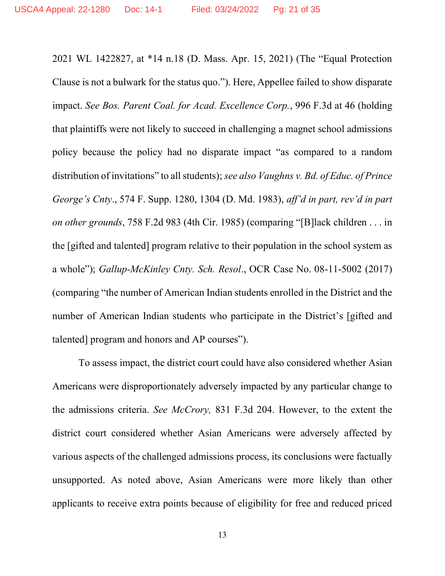2021 WL 1422827, at \*14 n.18 (D. Mass. Apr. 15, 2021) (The "Equal Protection Clause is not a bulwark for the status quo."). Here, Appellee failed to show disparate impact. See Bos. Parent Coal. for Acad. Excellence Corp., 996 F.3d at 46 (holding that plaintiffs were not likely to succeed in challenging a magnet school admissions policy because the policy had no disparate impact "as compared to a random distribution of invitations" to all students); see also Vaughns v. Bd. of Educ. of Prince George's Cnty., 574 F. Supp. 1280, 1304 (D. Md. 1983), aff'd in part, rev'd in part on other grounds, 758 F.2d 983 (4th Cir. 1985) (comparing "[B]lack children . . . in the [gifted and talented] program relative to their population in the school system as a whole"); Gallup-McKinley Cnty. Sch. Resol., OCR Case No. 08-11-5002 (2017) (comparing "the number of American Indian students enrolled in the District and the number of American Indian students who participate in the District's [gifted and talented] program and honors and AP courses").

To assess impact, the district court could have also considered whether Asian Americans were disproportionately adversely impacted by any particular change to the admissions criteria. See McCrory, 831 F.3d 204. However, to the extent the district court considered whether Asian Americans were adversely affected by various aspects of the challenged admissions process, its conclusions were factually unsupported. As noted above, Asian Americans were more likely than other applicants to receive extra points because of eligibility for free and reduced priced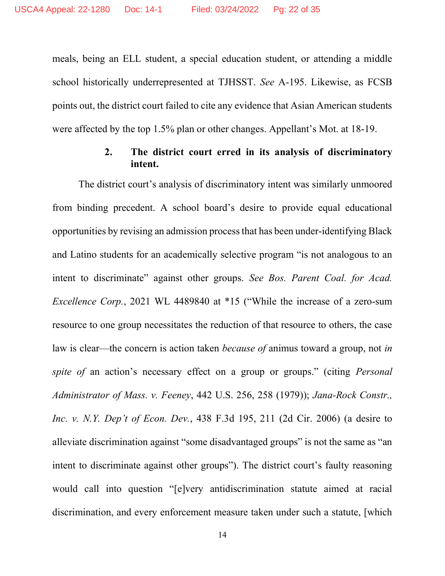meals, being an ELL student, a special education student, or attending a middle school historically underrepresented at TJHSST. See A-195. Likewise, as FCSB points out, the district court failed to cite any evidence that Asian American students were affected by the top 1.5% plan or other changes. Appellant's Mot. at 18-19.

#### 2. The district court erred in its analysis of discriminatory intent.

The district court's analysis of discriminatory intent was similarly unmoored from binding precedent. A school board's desire to provide equal educational opportunities by revising an admission process that has been under-identifying Black and Latino students for an academically selective program "is not analogous to an intent to discriminate" against other groups. See Bos. Parent Coal. for Acad. Excellence Corp., 2021 WL 4489840 at \*15 ("While the increase of a zero-sum resource to one group necessitates the reduction of that resource to others, the case law is clear—the concern is action taken *because of* animus toward a group, not *in* spite of an action's necessary effect on a group or groups." (citing Personal Administrator of Mass. v. Feeney, 442 U.S. 256, 258 (1979)); Jana-Rock Constr., Inc. v. N.Y. Dep't of Econ. Dev., 438 F.3d 195, 211 (2d Cir. 2006) (a desire to alleviate discrimination against "some disadvantaged groups" is not the same as "an intent to discriminate against other groups"). The district court's faulty reasoning would call into question "[e]very antidiscrimination statute aimed at racial discrimination, and every enforcement measure taken under such a statute, [which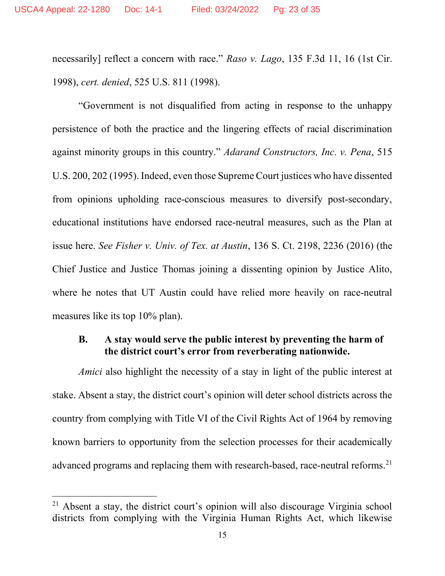necessarily] reflect a concern with race." Raso v. Lago, 135 F.3d 11, 16 (1st Cir. 1998), cert. denied, 525 U.S. 811 (1998).

"Government is not disqualified from acting in response to the unhappy persistence of both the practice and the lingering effects of racial discrimination against minority groups in this country." Adarand Constructors, Inc. v. Pena, 515 U.S. 200, 202 (1995). Indeed, even those Supreme Court justices who have dissented from opinions upholding race-conscious measures to diversify post-secondary, educational institutions have endorsed race-neutral measures, such as the Plan at issue here. See Fisher v. Univ. of Tex. at Austin, 136 S. Ct. 2198, 2236 (2016) (the Chief Justice and Justice Thomas joining a dissenting opinion by Justice Alito, where he notes that UT Austin could have relied more heavily on race-neutral measures like its top 10% plan).

### B. A stay would serve the public interest by preventing the harm of the district court's error from reverberating nationwide.

Amici also highlight the necessity of a stay in light of the public interest at stake. Absent a stay, the district court's opinion will deter school districts across the country from complying with Title VI of the Civil Rights Act of 1964 by removing known barriers to opportunity from the selection processes for their academically advanced programs and replacing them with research-based, race-neutral reforms.<sup>21</sup>

<sup>21</sup> Absent a stay, the district court's opinion will also discourage Virginia school districts from complying with the Virginia Human Rights Act, which likewise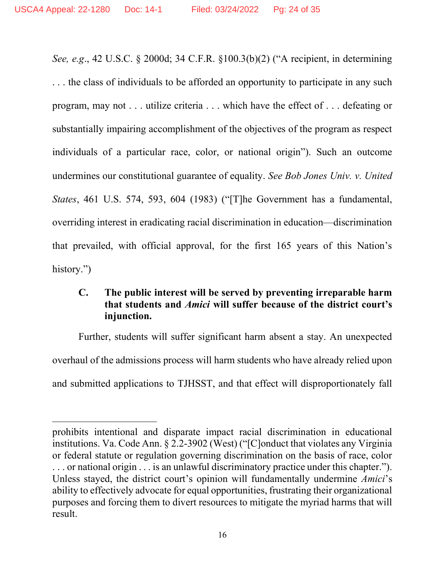See, e.g., 42 U.S.C. § 2000d; 34 C.F.R. §100.3(b)(2) ("A recipient, in determining

. . . the class of individuals to be afforded an opportunity to participate in any such program, may not . . . utilize criteria . . . which have the effect of . . . defeating or substantially impairing accomplishment of the objectives of the program as respect individuals of a particular race, color, or national origin"). Such an outcome undermines our constitutional guarantee of equality. See Bob Jones Univ. v. United States, 461 U.S. 574, 593, 604 (1983) ("[T]he Government has a fundamental, overriding interest in eradicating racial discrimination in education—discrimination that prevailed, with official approval, for the first 165 years of this Nation's history.")

## C. The public interest will be served by preventing irreparable harm that students and Amici will suffer because of the district court's injunction.

 Further, students will suffer significant harm absent a stay. An unexpected overhaul of the admissions process will harm students who have already relied upon and submitted applications to TJHSST, and that effect will disproportionately fall

prohibits intentional and disparate impact racial discrimination in educational institutions. Va. Code Ann. § 2.2-3902 (West) ("[C]onduct that violates any Virginia or federal statute or regulation governing discrimination on the basis of race, color . . . or national origin . . . is an unlawful discriminatory practice under this chapter."). Unless stayed, the district court's opinion will fundamentally undermine Amici's ability to effectively advocate for equal opportunities, frustrating their organizational purposes and forcing them to divert resources to mitigate the myriad harms that will result.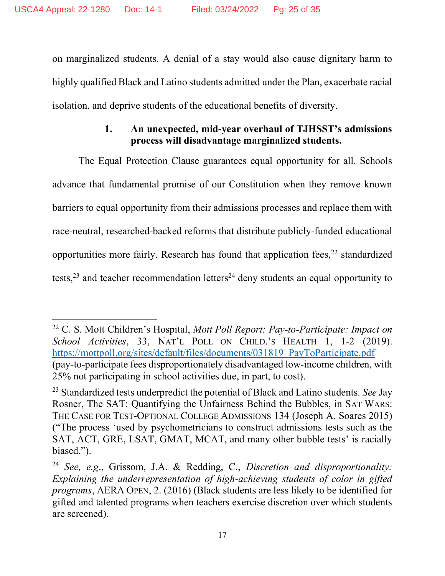on marginalized students. A denial of a stay would also cause dignitary harm to highly qualified Black and Latino students admitted under the Plan, exacerbate racial isolation, and deprive students of the educational benefits of diversity.

## 1. An unexpected, mid-year overhaul of TJHSST's admissions process will disadvantage marginalized students.

The Equal Protection Clause guarantees equal opportunity for all. Schools advance that fundamental promise of our Constitution when they remove known barriers to equal opportunity from their admissions processes and replace them with race-neutral, researched-backed reforms that distribute publicly-funded educational opportunities more fairly. Research has found that application fees, $22$  standardized tests, $23$  and teacher recommendation letters<sup>24</sup> deny students an equal opportunity to

<sup>&</sup>lt;sup>22</sup> C. S. Mott Children's Hospital, Mott Poll Report: Pay-to-Participate: Impact on School Activities, 33, NAT'L POLL ON CHILD.'S HEALTH 1, 1-2 (2019). https://mottpoll.org/sites/default/files/documents/031819\_PayToParticipate.pdf (pay-to-participate fees disproportionately disadvantaged low-income children, with 25% not participating in school activities due, in part, to cost).

 $23$  Standardized tests underpredict the potential of Black and Latino students. See Jay Rosner, The SAT: Quantifying the Unfairness Behind the Bubbles, in SAT WARS: THE CASE FOR TEST-OPTIONAL COLLEGE ADMISSIONS 134 (Joseph A. Soares 2015) ("The process 'used by psychometricians to construct admissions tests such as the SAT, ACT, GRE, LSAT, GMAT, MCAT, and many other bubble tests' is racially biased.").

<sup>&</sup>lt;sup>24</sup> See, e.g., Grissom, J.A. & Redding, C., Discretion and disproportionality: Explaining the underrepresentation of high-achieving students of color in gifted programs, AERA OPEN, 2. (2016) (Black students are less likely to be identified for gifted and talented programs when teachers exercise discretion over which students are screened).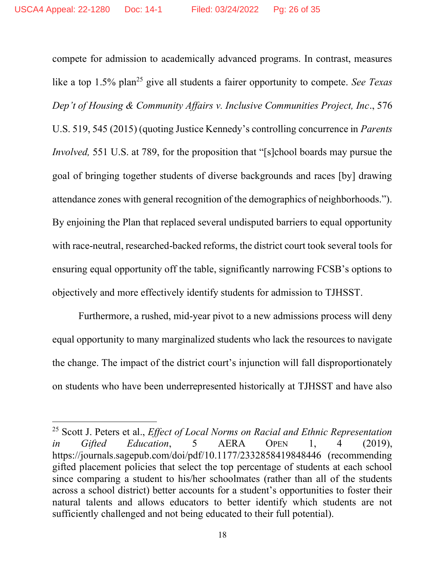compete for admission to academically advanced programs. In contrast, measures like a top  $1.5\%$  plan<sup>25</sup> give all students a fairer opportunity to compete. See Texas Dep't of Housing & Community Affairs v. Inclusive Communities Project, Inc., 576 U.S. 519, 545 (2015) (quoting Justice Kennedy's controlling concurrence in Parents Involved, 551 U.S. at 789, for the proposition that "[s]chool boards may pursue the goal of bringing together students of diverse backgrounds and races [by] drawing attendance zones with general recognition of the demographics of neighborhoods."). By enjoining the Plan that replaced several undisputed barriers to equal opportunity with race-neutral, researched-backed reforms, the district court took several tools for ensuring equal opportunity off the table, significantly narrowing FCSB's options to objectively and more effectively identify students for admission to TJHSST.

Furthermore, a rushed, mid-year pivot to a new admissions process will deny equal opportunity to many marginalized students who lack the resources to navigate the change. The impact of the district court's injunction will fall disproportionately on students who have been underrepresented historically at TJHSST and have also

<sup>&</sup>lt;sup>25</sup> Scott J. Peters et al., *Effect of Local Norms on Racial and Ethnic Representation* in Gifted Education, 5 AERA OPEN 1, 4 (2019), https://journals.sagepub.com/doi/pdf/10.1177/2332858419848446 (recommending gifted placement policies that select the top percentage of students at each school since comparing a student to his/her schoolmates (rather than all of the students across a school district) better accounts for a student's opportunities to foster their natural talents and allows educators to better identify which students are not sufficiently challenged and not being educated to their full potential).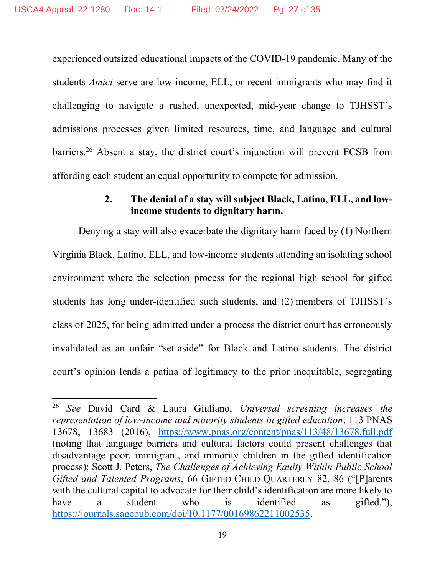experienced outsized educational impacts of the COVID-19 pandemic. Many of the students Amici serve are low-income, ELL, or recent immigrants who may find it challenging to navigate a rushed, unexpected, mid-year change to TJHSST's admissions processes given limited resources, time, and language and cultural barriers.<sup>26</sup> Absent a stay, the district court's injunction will prevent FCSB from affording each student an equal opportunity to compete for admission.

#### 2. The denial of a stay will subject Black, Latino, ELL, and lowincome students to dignitary harm.

Denying a stay will also exacerbate the dignitary harm faced by (1) Northern Virginia Black, Latino, ELL, and low-income students attending an isolating school environment where the selection process for the regional high school for gifted students has long under-identified such students, and (2) members of TJHSST's class of 2025, for being admitted under a process the district court has erroneously invalidated as an unfair "set-aside" for Black and Latino students. The district court's opinion lends a patina of legitimacy to the prior inequitable, segregating

<sup>&</sup>lt;sup>26</sup> See David Card & Laura Giuliano, Universal screening increases the representation of low-income and minority students in gifted education, 113 PNAS 13678, 13683 (2016), https://www.pnas.org/content/pnas/113/48/13678.full.pdf (noting that language barriers and cultural factors could present challenges that disadvantage poor, immigrant, and minority children in the gifted identification process); Scott J. Peters, The Challenges of Achieving Equity Within Public School Gifted and Talented Programs, 66 GIFTED CHILD QUARTERLY 82, 86 ("[P]arents with the cultural capital to advocate for their child's identification are more likely to have a student who is identified as gifted."), https://journals.sagepub.com/doi/10.1177/00169862211002535.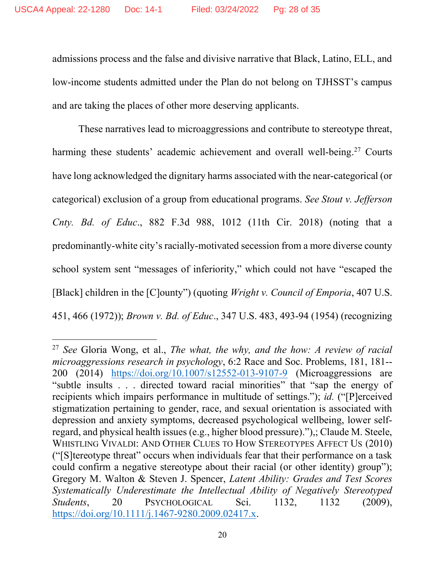admissions process and the false and divisive narrative that Black, Latino, ELL, and low-income students admitted under the Plan do not belong on TJHSST's campus and are taking the places of other more deserving applicants.

These narratives lead to microaggressions and contribute to stereotype threat, harming these students' academic achievement and overall well-being.<sup>27</sup> Courts have long acknowledged the dignitary harms associated with the near-categorical (or categorical) exclusion of a group from educational programs. See Stout v. Jefferson Cnty. Bd. of Educ., 882 F.3d 988, 1012 (11th Cir. 2018) (noting that a predominantly-white city's racially-motivated secession from a more diverse county school system sent "messages of inferiority," which could not have "escaped the [Black] children in the [C]ounty") (quoting Wright v. Council of Emporia, 407 U.S. 451, 466 (1972)); Brown v. Bd. of Educ., 347 U.S. 483, 493-94 (1954) (recognizing

<sup>&</sup>lt;sup>27</sup> See Gloria Wong, et al., *The what, the why, and the how: A review of racial* microaggressions research in psychology, 6:2 Race and Soc. Problems, 181, 181-- 200 (2014) https://doi.org/10.1007/s12552-013-9107-9 (Microaggressions are "subtle insults . . . directed toward racial minorities" that "sap the energy of recipients which impairs performance in multitude of settings."); id. ("[P]erceived stigmatization pertaining to gender, race, and sexual orientation is associated with depression and anxiety symptoms, decreased psychological wellbeing, lower selfregard, and physical health issues (e.g., higher blood pressure)."),; Claude M. Steele, WHISTLING VIVALDI: AND OTHER CLUES TO HOW STEREOTYPES AFFECT US (2010) ("[S]tereotype threat" occurs when individuals fear that their performance on a task could confirm a negative stereotype about their racial (or other identity) group"); Gregory M. Walton & Steven J. Spencer, Latent Ability: Grades and Test Scores Systematically Underestimate the Intellectual Ability of Negatively Stereotyped Students, 20 PSYCHOLOGICAL Sci. 1132, 1132 (2009), https://doi.org/10.1111/j.1467-9280.2009.02417.x.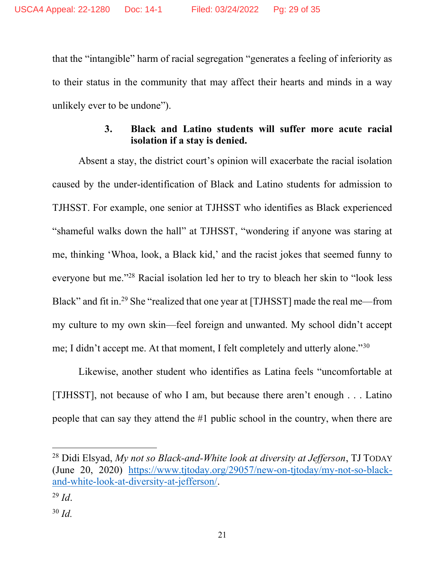that the "intangible" harm of racial segregation "generates a feeling of inferiority as to their status in the community that may affect their hearts and minds in a way unlikely ever to be undone").

## 3. Black and Latino students will suffer more acute racial isolation if a stay is denied.

Absent a stay, the district court's opinion will exacerbate the racial isolation caused by the under-identification of Black and Latino students for admission to TJHSST. For example, one senior at TJHSST who identifies as Black experienced "shameful walks down the hall" at TJHSST, "wondering if anyone was staring at me, thinking 'Whoa, look, a Black kid,' and the racist jokes that seemed funny to everyone but me."<sup>28</sup> Racial isolation led her to try to bleach her skin to "look less Black" and fit in.<sup>29</sup> She "realized that one year at [TJHSST] made the real me—from my culture to my own skin—feel foreign and unwanted. My school didn't accept me; I didn't accept me. At that moment, I felt completely and utterly alone."<sup>30</sup>

Likewise, another student who identifies as Latina feels "uncomfortable at [TJHSST], not because of who I am, but because there aren't enough . . . Latino people that can say they attend the #1 public school in the country, when there are

 $^{28}$  Didi Elsyad, My not so Black-and-White look at diversity at Jefferson, TJ TODAY (June 20, 2020) https://www.tjtoday.org/29057/new-on-tjtoday/my-not-so-blackand-white-look-at-diversity-at-jefferson/.

 $^{29}$  *Id.* 

 $30$  Id.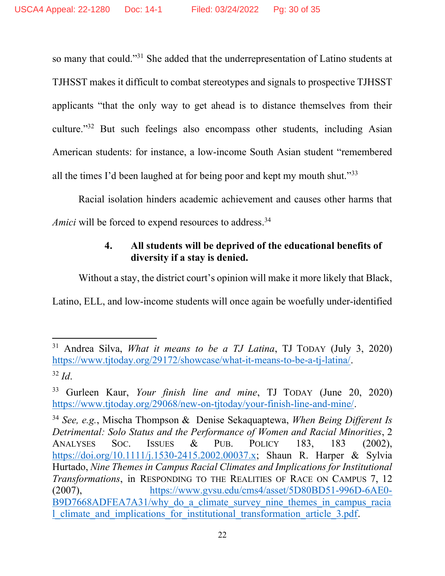so many that could."<sup>31</sup> She added that the underrepresentation of Latino students at TJHSST makes it difficult to combat stereotypes and signals to prospective TJHSST applicants "that the only way to get ahead is to distance themselves from their culture."<sup>32</sup> But such feelings also encompass other students, including Asian American students: for instance, a low-income South Asian student "remembered all the times I'd been laughed at for being poor and kept my mouth shut." $33$ 

Racial isolation hinders academic achievement and causes other harms that Amici will be forced to expend resources to address.<sup>34</sup>

## 4. All students will be deprived of the educational benefits of diversity if a stay is denied.

Without a stay, the district court's opinion will make it more likely that Black,

Latino, ELL, and low-income students will once again be woefully under-identified

 $31$  Andrea Silva, *What it means to be a TJ Latina*, TJ TODAY (July 3, 2020) https://www.tjtoday.org/29172/showcase/what-it-means-to-be-a-tj-latina/.  $32$  Id.

 $33$  Gurleen Kaur, Your finish line and mine, TJ TODAY (June 20, 2020) https://www.tjtoday.org/29068/new-on-tjtoday/your-finish-line-and-mine/.

<sup>&</sup>lt;sup>34</sup> See, e.g., Mischa Thompson & Denise Sekaquaptewa, When Being Different Is Detrimental: Solo Status and the Performance of Women and Racial Minorities, 2 ANALYSES SOC. ISSUES & PUB. POLICY 183, 183 (2002), https://doi.org/10.1111/j.1530-2415.2002.00037.x; Shaun R. Harper & Sylvia Hurtado, Nine Themes in Campus Racial Climates and Implications for Institutional Transformations, in RESPONDING TO THE REALITIES OF RACE ON CAMPUS 7, 12 (2007), https://www.gvsu.edu/cms4/asset/5D80BD51-996D-6AE0- B9D7668ADFEA7A31/why do a climate survey nine themes in campus racia l\_climate\_and\_implications\_for\_institutional\_transformation\_article\_3.pdf.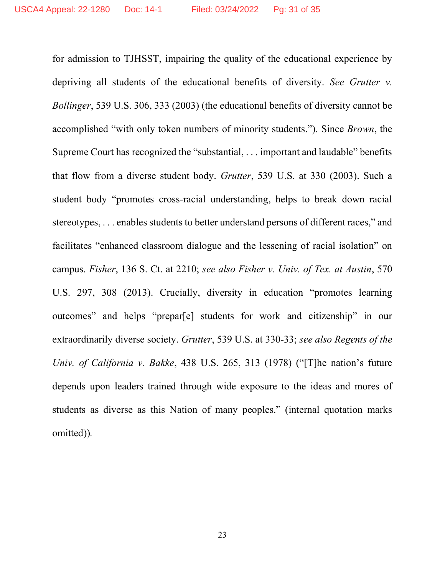for admission to TJHSST, impairing the quality of the educational experience by depriving all students of the educational benefits of diversity. See Grutter v. Bollinger, 539 U.S. 306, 333 (2003) (the educational benefits of diversity cannot be accomplished "with only token numbers of minority students."). Since Brown, the Supreme Court has recognized the "substantial, . . . important and laudable" benefits that flow from a diverse student body. Grutter, 539 U.S. at 330 (2003). Such a student body "promotes cross-racial understanding, helps to break down racial stereotypes, . . . enables students to better understand persons of different races," and facilitates "enhanced classroom dialogue and the lessening of racial isolation" on campus. Fisher, 136 S. Ct. at 2210; see also Fisher v. Univ. of Tex. at Austin, 570 U.S. 297, 308 (2013). Crucially, diversity in education "promotes learning outcomes" and helps "prepar[e] students for work and citizenship" in our extraordinarily diverse society. Grutter, 539 U.S. at 330-33; see also Regents of the Univ. of California v. Bakke, 438 U.S. 265, 313 (1978) ("[T]he nation's future depends upon leaders trained through wide exposure to the ideas and mores of students as diverse as this Nation of many peoples." (internal quotation marks omitted)).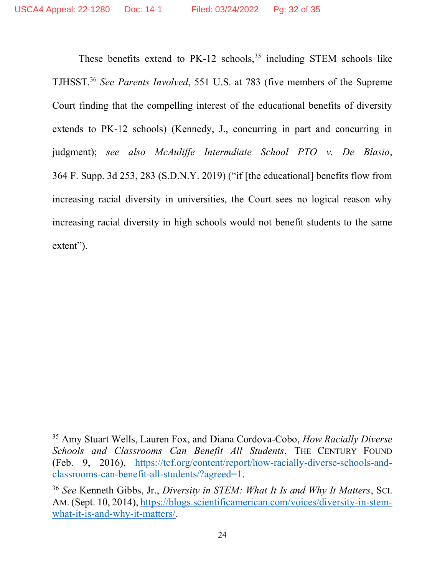These benefits extend to  $PK-12$  schools,<sup>35</sup> including STEM schools like TJHSST.<sup>36</sup> See Parents Involved, 551 U.S. at 783 (five members of the Supreme Court finding that the compelling interest of the educational benefits of diversity extends to PK-12 schools) (Kennedy, J., concurring in part and concurring in judgment); see also McAuliffe Intermdiate School PTO v. De Blasio, 364 F. Supp. 3d 253, 283 (S.D.N.Y. 2019) ("if [the educational] benefits flow from increasing racial diversity in universities, the Court sees no logical reason why increasing racial diversity in high schools would not benefit students to the same extent").

<sup>&</sup>lt;sup>35</sup> Amy Stuart Wells, Lauren Fox, and Diana Cordova-Cobo, How Racially Diverse Schools and Classrooms Can Benefit All Students, THE CENTURY FOUND (Feb. 9, 2016), https://tcf.org/content/report/how-racially-diverse-schools-andclassrooms-can-benefit-all-students/?agreed=1.

<sup>&</sup>lt;sup>36</sup> See Kenneth Gibbs, Jr., Diversity in STEM: What It Is and Why It Matters, SCI. AM. (Sept. 10, 2014), https://blogs.scientificamerican.com/voices/diversity-in-stemwhat-it-is-and-why-it-matters/.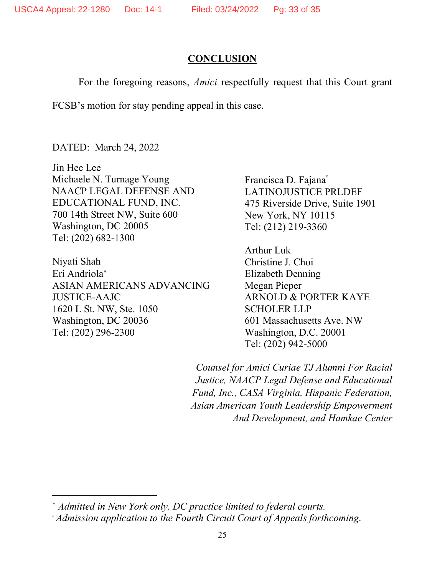### **CONCLUSION**

For the foregoing reasons, Amici respectfully request that this Court grant

FCSB's motion for stay pending appeal in this case.

DATED: March 24, 2022

Jin Hee Lee Michaele N. Turnage Young NAACP LEGAL DEFENSE AND EDUCATIONAL FUND, INC. 700 14th Street NW, Suite 600 Washington, DC 20005 Tel: (202) 682-1300

Niyati Shah Eri Andriola ASIAN AMERICANS ADVANCING JUSTICE-AAJC 1620 L St. NW, Ste. 1050 Washington, DC 20036 Tel: (202) 296-2300

Francisca D. Fajana LATINOJUSTICE PRLDEF 475 Riverside Drive, Suite 1901 New York, NY 10115 Tel: (212) 219-3360

Arthur Luk Christine J. Choi Elizabeth Denning Megan Pieper ARNOLD & PORTER KAYE SCHOLER LLP 601 Massachusetts Ave. NW Washington, D.C. 20001 Tel: (202) 942-5000

Counsel for Amici Curiae TJ Alumni For Racial Justice, NAACP Legal Defense and Educational Fund, Inc., CASA Virginia, Hispanic Federation, Asian American Youth Leadership Empowerment And Development, and Hamkae Center

Admitted in New York only. DC practice limited to federal courts.

Admission application to the Fourth Circuit Court of Appeals forthcoming.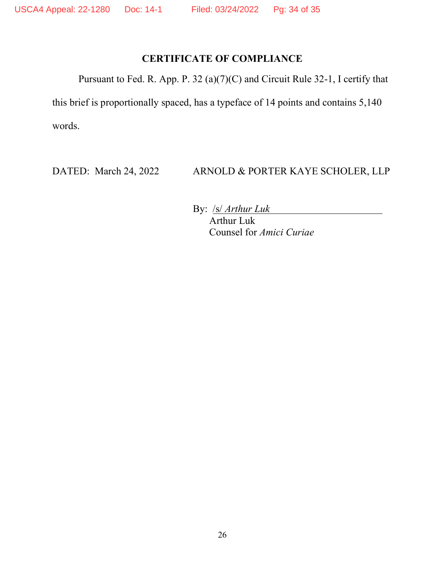## CERTIFICATE OF COMPLIANCE

Pursuant to Fed. R. App. P. 32 (a)(7)(C) and Circuit Rule 32-1, I certify that

this brief is proportionally spaced, has a typeface of 14 points and contains 5,140 words.

DATED: March 24, 2022 ARNOLD & PORTER KAYE SCHOLER, LLP

<u> 1980 - Johann Barbara, martxa a</u>

By: **/s/ Arthur Luk** 

Arthur Luk Counsel for Amici Curiae